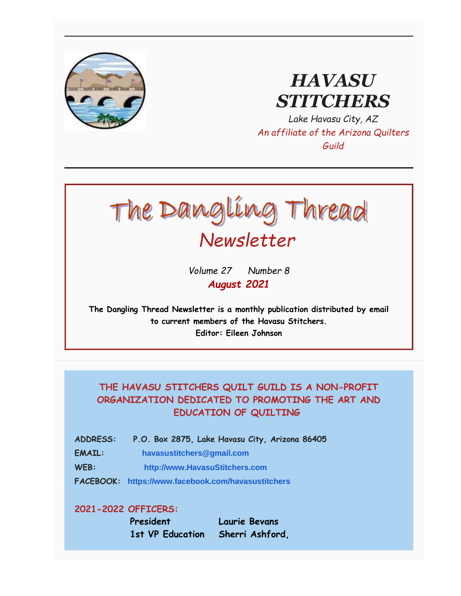

# *HAVASU STITCHERS*

*Lake Havasu City, AZ An affiliate of the Arizona Quilters Guild*



*Volume 27 Number 8 August 2021*

**The Dangling Thread Newsletter is a monthly publication distributed by email to current members of the Havasu Stitchers. Editor: Eileen Johnson**

### **THE HAVASU STITCHERS QUILT GUILD IS A NON-PROFIT ORGANIZATION DEDICATED TO PROMOTING THE ART AND EDUCATION OF QUILTING**

- **ADDRESS: P.O. Box 2875, Lake Havasu City, Arizona 86405**
- **EMAIL: [havasustitchers@gmail.com](mailto:havasustitchers@gmail.com)**
- **WEB: [http://www.HavasuStitchers.com](http://www.havasustitchers.com/)**
- **FACEBOOK: <https://www.facebook.com/havasustitchers>**

#### **2021-2022 OFFICERS:**

**President Laurie Bevans 1st VP Education Sherri Ashford,**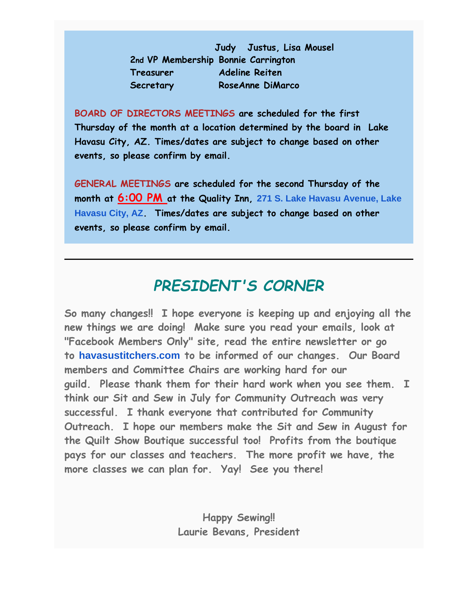**Judy Justus, Lisa Mousel 2nd VP Membership Bonnie Carrington Treasurer Adeline Reiten Secretary RoseAnne DiMarco**

**BOARD OF DIRECTORS MEETINGS are scheduled for the first Thursday of the month at a location determined by the board in Lake Havasu City, AZ. Times/dates are subject to change based on other events, so please confirm by email.**

**GENERAL MEETINGS are scheduled for the second Thursday of the month at 6:00 PM at the Quality Inn, [271 S. Lake Havasu Avenue, Lake](https://www.google.com/maps/search/271+S.+Lake+Havasu+Avenue,+Lake+Havasu+City,+AZ?entry=gmail&source=g)  [Havasu City, AZ](https://www.google.com/maps/search/271+S.+Lake+Havasu+Avenue,+Lake+Havasu+City,+AZ?entry=gmail&source=g). Times/dates are subject to change based on other events, so please confirm by email.** 

## *PRESIDENT'S CORNER*

**So many changes!! I hope everyone is keeping up and enjoying all the new things we are doing! Make sure you read your emails, look at "Facebook Members Only" site, read the entire newsletter or go to [havasustitchers.com](http://havasustitchers.com/) to be informed of our changes. Our Board members and Committee Chairs are working hard for our guild. Please thank them for their hard work when you see them. I think our Sit and Sew in July for Community Outreach was very successful. I thank everyone that contributed for Community Outreach. I hope our members make the Sit and Sew in August for the Quilt Show Boutique successful too! Profits from the boutique pays for our classes and teachers. The more profit we have, the more classes we can plan for. Yay! See you there!**

> **Happy Sewing!! Laurie Bevans, President**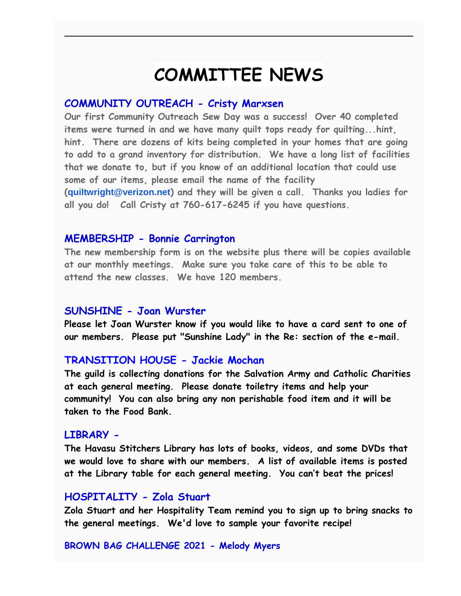# **COMMITTEE NEWS**

#### **COMMUNITY OUTREACH - Cristy Marxsen**

**Our first Community Outreach Sew Day was a success! Over 40 completed items were turned in and we have many quilt tops ready for quilting...hint, hint. There are dozens of kits being completed in your homes that are going to add to a grand inventory for distribution. We have a long list of facilities that we donate to, but if you know of an additional location that could use some of our items, please email the name of the facility ([quiltwright@verizon.net](mailto:quiltwright@verizon.net)) and they will be given a call. Thanks you ladies for all you do! Call Cristy at 760-617-6245 if you have questions.** 

#### **MEMBERSHIP - Bonnie Carrington**

**The new membership form is on the website plus there will be copies available at our monthly meetings. Make sure you take care of this to be able to attend the new classes. We have 120 members.** 

#### **SUNSHINE - Joan Wurster**

**Please let Joan Wurster know if you would like to have a card sent to one of our members. Please put "Sunshine Lady" in the Re: section of the e-mail.**

#### **TRANSITION HOUSE - Jackie Mochan**

**The guild is collecting donations for the Salvation Army and Catholic Charities at each general meeting. Please donate toiletry items and help your community! You can also bring any non perishable food item and it will be taken to the Food Bank.** 

#### **LIBRARY -**

**The Havasu Stitchers Library has lots of books, videos, and some DVDs that we would love to share with our members. A list of available items is posted at the Library table for each general meeting. You can't beat the prices!**

#### **HOSPITALITY - Zola Stuart**

**Zola Stuart and her Hospitality Team remind you to sign up to bring snacks to the general meetings. We'd love to sample your favorite recipe!**

#### **BROWN BAG CHALLENGE 2021 - Melody Myers**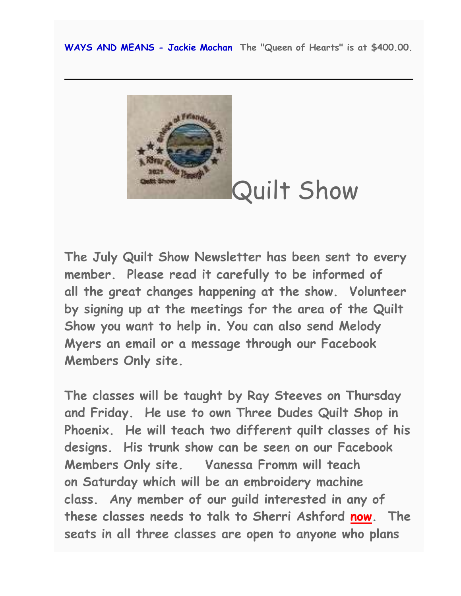**WAYS AND MEANS - Jackie Mochan The "Queen of Hearts" is at \$400.00.**



Quilt Show

**The July Quilt Show Newsletter has been sent to every member. Please read it carefully to be informed of all the great changes happening at the show. Volunteer by signing up at the meetings for the area of the Quilt Show you want to help in. You can also send Melody Myers an email or a message through our Facebook Members Only site.**

**The classes will be taught by Ray Steeves on Thursday and Friday. He use to own Three Dudes Quilt Shop in Phoenix. He will teach two different quilt classes of his designs. His trunk show can be seen on our Facebook Members Only site. Vanessa Fromm will teach on Saturday which will be an embroidery machine class. Any member of our guild interested in any of these classes needs to talk to Sherri Ashford now. The seats in all three classes are open to anyone who plans**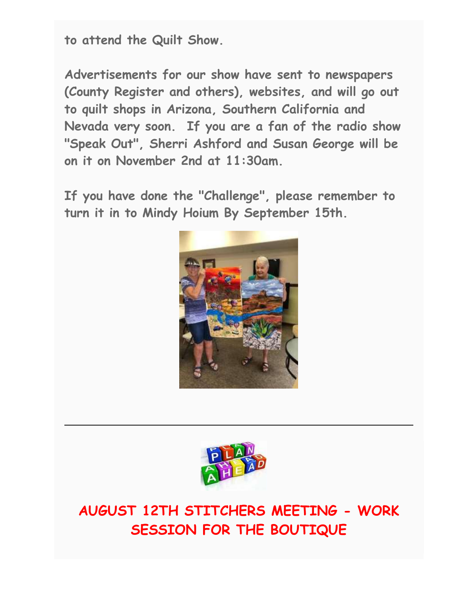**to attend the Quilt Show.**

**Advertisements for our show have sent to newspapers (County Register and others), websites, and will go out to quilt shops in Arizona, Southern California and Nevada very soon. If you are a fan of the radio show "Speak Out", Sherri Ashford and Susan George will be on it on November 2nd at 11:30am.**

**If you have done the "Challenge", please remember to turn it in to Mindy Hoium By September 15th.** 





**AUGUST 12TH STITCHERS MEETING - WORK SESSION FOR THE BOUTIQUE**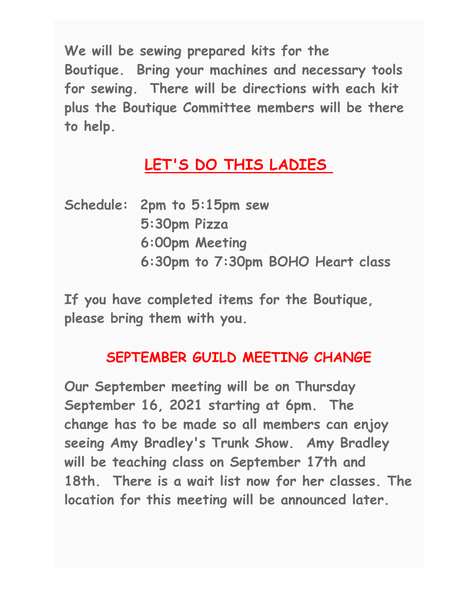**We will be sewing prepared kits for the Boutique. Bring your machines and necessary tools for sewing. There will be directions with each kit plus the Boutique Committee members will be there to help.**

# **LET'S DO THIS LADIES**

|  | Schedule: 2pm to 5:15pm sew       |
|--|-----------------------------------|
|  | 5:30pm Pizza                      |
|  | 6:00pm Meeting                    |
|  | 6:30pm to 7:30pm BOHO Heart class |

**If you have completed items for the Boutique, please bring them with you.**

## **SEPTEMBER GUILD MEETING CHANGE**

**Our September meeting will be on Thursday September 16, 2021 starting at 6pm. The change has to be made so all members can enjoy seeing Amy Bradley's Trunk Show. Amy Bradley will be teaching class on September 17th and 18th. There is a wait list now for her classes. The location for this meeting will be announced later.**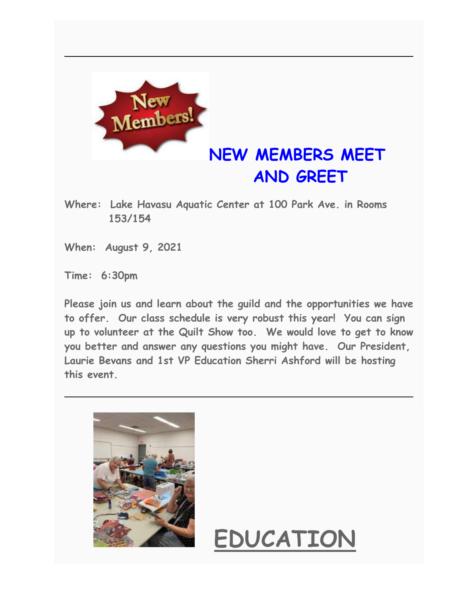

# **NEW MEMBERS MEET AND GREET**

- **Where: Lake Havasu Aquatic Center at 100 Park Ave. in Rooms 153/154**
- **When: August 9, 2021**

**Time: 6:30pm**

**Please join us and learn about the guild and the opportunities we have to offer. Our class schedule is very robust this year! You can sign up to volunteer at the Quilt Show too. We would love to get to know you better and answer any questions you might have. Our President, Laurie Bevans and 1st VP Education Sherri Ashford will be hosting this event.** 



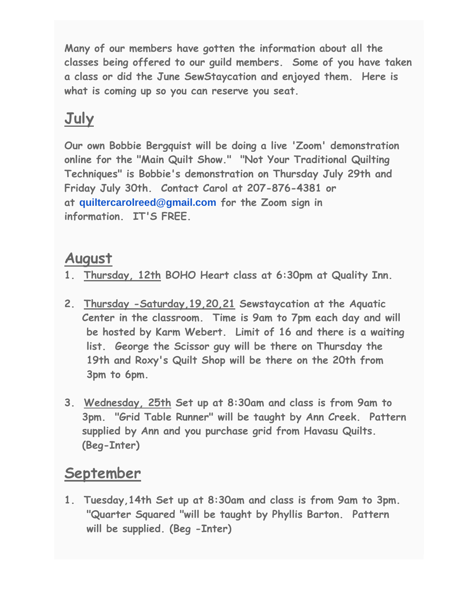**Many of our members have gotten the information about all the classes being offered to our guild members. Some of you have taken a class or did the June SewStaycation and enjoyed them. Here is what is coming up so you can reserve you seat.**

# **July**

**Our own Bobbie Bergquist will be doing a live 'Zoom' demonstration online for the "Main Quilt Show." "Not Your Traditional Quilting Techniques" is Bobbie's demonstration on Thursday July 29th and Friday July 30th. Contact Carol at 207-876-4381 or at [quiltercarolreed@gmail.com](mailto:quiltercarolreed@gmail.com) for the Zoom sign in information. IT'S FREE.**

# **August**

- **1. Thursday, 12th BOHO Heart class at 6:30pm at Quality Inn.**
- **2. Thursday -Saturday,19,20,21 Sewstaycation at the Aquatic Center in the classroom. Time is 9am to 7pm each day and will be hosted by Karm Webert. Limit of 16 and there is a waiting list. George the Scissor guy will be there on Thursday the 19th and Roxy's Quilt Shop will be there on the 20th from 3pm to 6pm.**
- **3. Wednesday, 25th Set up at 8:30am and class is from 9am to 3pm. "Grid Table Runner" will be taught by Ann Creek. Pattern supplied by Ann and you purchase grid from Havasu Quilts. (Beg-Inter)**

# **September**

**1. Tuesday,14th Set up at 8:30am and class is from 9am to 3pm. "Quarter Squared "will be taught by Phyllis Barton. Pattern will be supplied. (Beg -Inter)**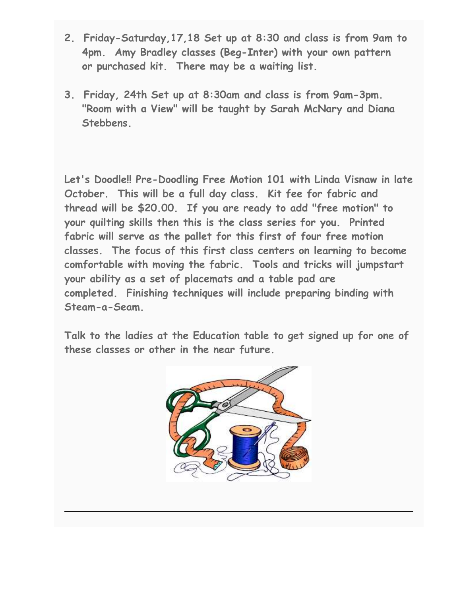- **2. Friday-Saturday,17,18 Set up at 8:30 and class is from 9am to 4pm. Amy Bradley classes (Beg-Inter) with your own pattern or purchased kit. There may be a waiting list.**
- **3. Friday, 24th Set up at 8:30am and class is from 9am-3pm. "Room with a View" will be taught by Sarah McNary and Diana Stebbens.**

**Let's Doodle!! Pre-Doodling Free Motion 101 with Linda Visnaw in late October. This will be a full day class. Kit fee for fabric and thread will be \$20.00. If you are ready to add "free motion" to your quilting skills then this is the class series for you. Printed fabric will serve as the pallet for this first of four free motion classes. The focus of this first class centers on learning to become comfortable with moving the fabric. Tools and tricks will jumpstart your ability as a set of placemats and a table pad are completed. Finishing techniques will include preparing binding with Steam-a-Seam.**

**Talk to the ladies at the Education table to get signed up for one of these classes or other in the near future.**

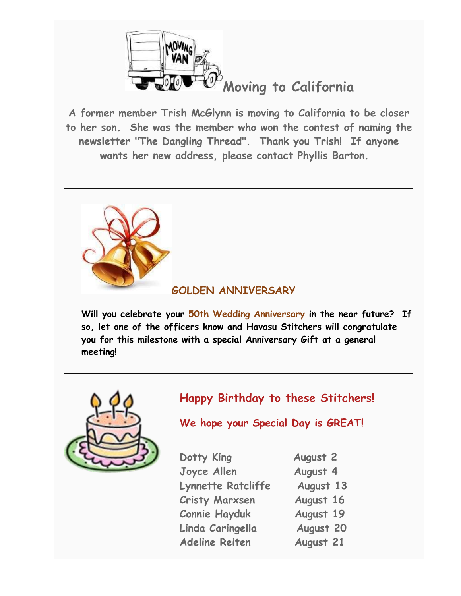

**A former member Trish McGlynn is moving to California to be closer to her son. She was the member who won the contest of naming the newsletter "The Dangling Thread". Thank you Trish! If anyone wants her new address, please contact Phyllis Barton.** 



## **GOLDEN ANNIVERSARY**

**Will you celebrate your 50th Wedding Anniversary in the near future? If so, let one of the officers know and Havasu Stitchers will congratulate you for this milestone with a special Anniversary Gift at a general meeting!**



## **Happy Birthday to these Stitchers!**

**We hope your Special Day is GREAT!**

| Dotty King                | <b>August 2</b> |
|---------------------------|-----------------|
| Joyce Allen               | August 4        |
| <b>Lynnette Ratcliffe</b> | August 13       |
| <b>Cristy Marxsen</b>     | August 16       |
| <b>Connie Hayduk</b>      | August 19       |
| Linda Caringella          | August 20       |
| <b>Adeline Reiten</b>     | August 21       |
|                           |                 |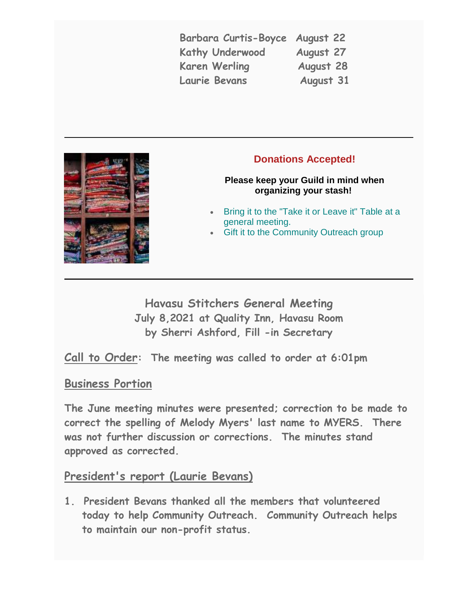**Barbara Curtis-Boyce August 22 Kathy Underwood August 27 Karen Werling August 28 Laurie Bevans August 31**



### **Donations Accepted!**

#### **Please keep your Guild in mind when organizing your stash!**

- Bring it to the "Take it or Leave it" Table at a general meeting.
- **Gift it to the Community Outreach group**

**Havasu Stitchers General Meeting July 8,2021 at Quality Inn, Havasu Room by Sherri Ashford, Fill -in Secretary**

**Call to Order: The meeting was called to order at 6:01pm**

### **Business Portion**

**The June meeting minutes were presented; correction to be made to correct the spelling of Melody Myers' last name to MYERS. There was not further discussion or corrections. The minutes stand approved as corrected.** 

### **President's report (Laurie Bevans)**

**1. President Bevans thanked all the members that volunteered today to help Community Outreach. Community Outreach helps to maintain our non-profit status.**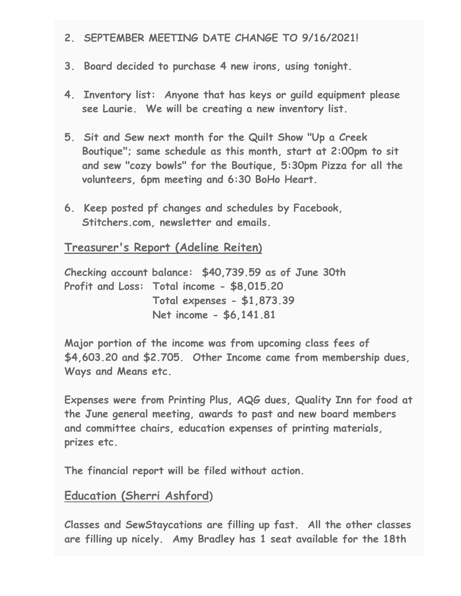- **2. SEPTEMBER MEETING DATE CHANGE TO 9/16/2021!**
- **3. Board decided to purchase 4 new irons, using tonight.**
- **4. Inventory list: Anyone that has keys or guild equipment please see Laurie. We will be creating a new inventory list.**
- **5. Sit and Sew next month for the Quilt Show "Up a Creek Boutique"; same schedule as this month, start at 2:00pm to sit and sew "cozy bowls" for the Boutique, 5:30pm Pizza for all the volunteers, 6pm meeting and 6:30 BoHo Heart.**
- **6. Keep posted pf changes and schedules by Facebook, Stitchers.com, newsletter and emails.**

**Treasurer's Report (Adeline Reiten)**

**Checking account balance: \$40,739.59 as of June 30th Profit and Loss: Total income - \$8,015.20 Total expenses - \$1,873.39 Net income - \$6,141.81**

**Major portion of the income was from upcoming class fees of \$4,603.20 and \$2.705. Other Income came from membership dues, Ways and Means etc.** 

**Expenses were from Printing Plus, AQG dues, Quality Inn for food at the June general meeting, awards to past and new board members and committee chairs, education expenses of printing materials, prizes etc.** 

**The financial report will be filed without action.**

### **Education (Sherri Ashford)**

**Classes and SewStaycations are filling up fast. All the other classes are filling up nicely. Amy Bradley has 1 seat available for the 18th**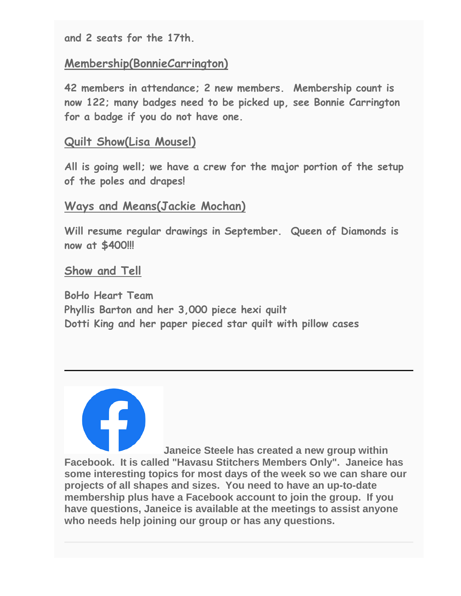**and 2 seats for the 17th.** 

## **Membership(BonnieCarrington)**

**42 members in attendance; 2 new members. Membership count is now 122; many badges need to be picked up, see Bonnie Carrington for a badge if you do not have one.** 

### **Quilt Show(Lisa Mousel)**

**All is going well; we have a crew for the major portion of the setup of the poles and drapes!**

### **Ways and Means(Jackie Mochan)**

**Will resume regular drawings in September. Queen of Diamonds is now at \$400!!!**

### **Show and Tell**

**BoHo Heart Team Phyllis Barton and her 3,000 piece hexi quilt Dotti King and her paper pieced star quilt with pillow cases**

**Janeice Steele has created a new group within Facebook. It is called "Havasu Stitchers Members Only". Janeice has some interesting topics for most days of the week so we can share our projects of all shapes and sizes. You need to have an up-to-date membership plus have a Facebook account to join the group. If you have questions, Janeice is available at the meetings to assist anyone who needs help joining our group or has any questions.**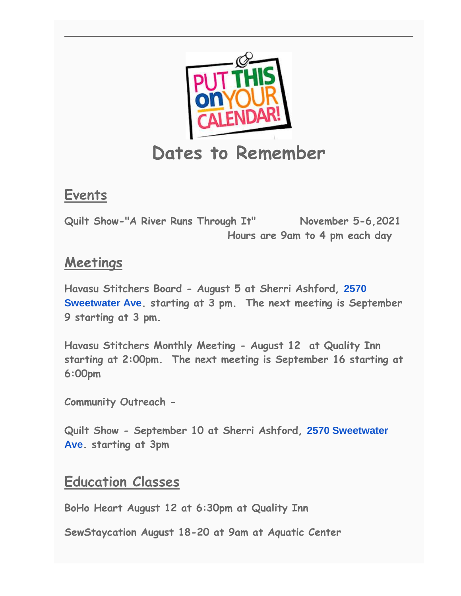

## **Events**

**Quilt Show-"A River Runs Through It" November 5-6,2021 Hours are 9am to 4 pm each day**

## **Meetings**

**Havasu Stitchers Board - August 5 at Sherri Ashford, [2570](https://www.google.com/maps/search/2570+Sweetwater+Ave?entry=gmail&source=g)  [Sweetwater Ave](https://www.google.com/maps/search/2570+Sweetwater+Ave?entry=gmail&source=g). starting at 3 pm. The next meeting is September 9 starting at 3 pm.**

**Havasu Stitchers Monthly Meeting - August 12 at Quality Inn starting at 2:00pm. The next meeting is September 16 starting at 6:00pm**

**Community Outreach -**

**Quilt Show - September 10 at Sherri Ashford, [2570 Sweetwater](https://www.google.com/maps/search/2570+Sweetwater+Ave?entry=gmail&source=g)  [Ave](https://www.google.com/maps/search/2570+Sweetwater+Ave?entry=gmail&source=g). starting at 3pm**

## **Education Classes**

**BoHo Heart August 12 at 6:30pm at Quality Inn**

**SewStaycation August 18-20 at 9am at Aquatic Center**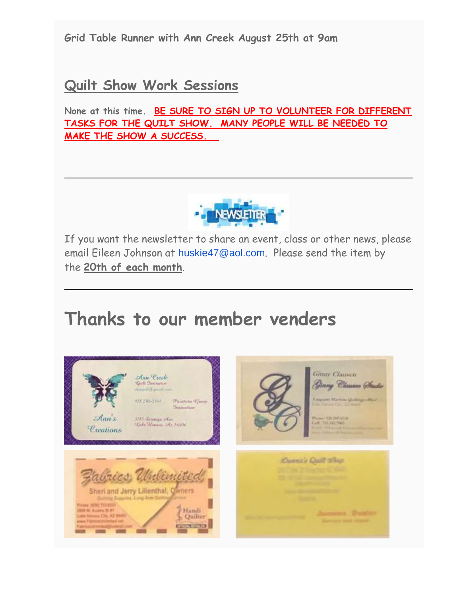**Grid Table Runner with Ann Creek August 25th at 9am**

## **Quilt Show Work Sessions**

**None at this time. BE SURE TO SIGN UP TO VOLUNTEER FOR DIFFERENT TASKS FOR THE QUILT SHOW. MANY PEOPLE WILL BE NEEDED TO MAKE THE SHOW A SUCCESS.** 



If you want the newsletter to share an event, class or other news, please email Eileen Johnson at [huskie47@aol.com](mailto:huskie47@aol.com). Please send the item by the **20th of each month**.

# **Thanks to our member venders**